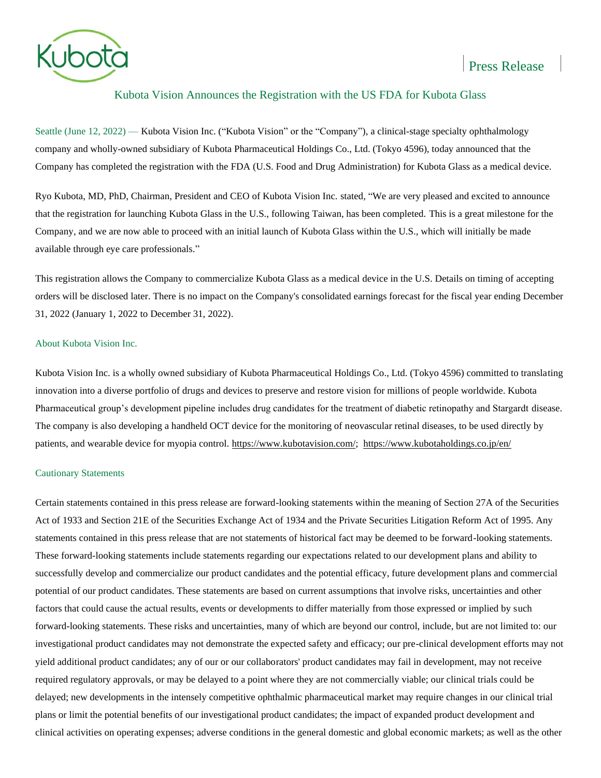

# Press Release

## Kubota Vision Announces the Registration with the US FDA for Kubota Glass

Seattle (June 12, 2022) — Kubota Vision Inc. ("Kubota Vision" or the "Company"), a clinical-stage specialty ophthalmology company and wholly-owned subsidiary of Kubota Pharmaceutical Holdings Co., Ltd. (Tokyo 4596), today announced that the Company has completed the registration with the FDA (U.S. Food and Drug Administration) for Kubota Glass as a medical device.

Ryo Kubota, MD, PhD, Chairman, President and CEO of Kubota Vision Inc. stated, "We are very pleased and excited to announce that the registration for launching Kubota Glass in the U.S., following Taiwan, has been completed. This is a great milestone for the Company, and we are now able to proceed with an initial launch of Kubota Glass within the U.S., which will initially be made available through eye care professionals."

This registration allows the Company to commercialize Kubota Glass as a medical device in the U.S. Details on timing of accepting orders will be disclosed later. There is no impact on the Company's consolidated earnings forecast for the fiscal year ending December 31, 2022 (January 1, 2022 to December 31, 2022).

### About Kubota Vision Inc.

Kubota Vision Inc. is a wholly owned subsidiary of Kubota Pharmaceutical Holdings Co., Ltd. (Tokyo 4596) committed to translating innovation into a diverse portfolio of drugs and devices to preserve and restore vision for millions of people worldwide. Kubota Pharmaceutical group's development pipeline includes drug candidates for the treatment of diabetic retinopathy and Stargardt disease. The company is also developing a handheld OCT device for the monitoring of neovascular retinal diseases, to be used directly by patients, and wearable device for myopia control. [https://www.kubotavision.com/;](https://www.kubotavision.com/) <https://www.kubotaholdings.co.jp/en/>

### Cautionary Statements

Certain statements contained in this press release are forward-looking statements within the meaning of Section 27A of the Securities Act of 1933 and Section 21E of the Securities Exchange Act of 1934 and the Private Securities Litigation Reform Act of 1995. Any statements contained in this press release that are not statements of historical fact may be deemed to be forward-looking statements. These forward-looking statements include statements regarding our expectations related to our development plans and ability to successfully develop and commercialize our product candidates and the potential efficacy, future development plans and commercial potential of our product candidates. These statements are based on current assumptions that involve risks, uncertainties and other factors that could cause the actual results, events or developments to differ materially from those expressed or implied by such forward-looking statements. These risks and uncertainties, many of which are beyond our control, include, but are not limited to: our investigational product candidates may not demonstrate the expected safety and efficacy; our pre-clinical development efforts may not yield additional product candidates; any of our or our collaborators' product candidates may fail in development, may not receive required regulatory approvals, or may be delayed to a point where they are not commercially viable; our clinical trials could be delayed; new developments in the intensely competitive ophthalmic pharmaceutical market may require changes in our clinical trial plans or limit the potential benefits of our investigational product candidates; the impact of expanded product development and clinical activities on operating expenses; adverse conditions in the general domestic and global economic markets; as well as the other